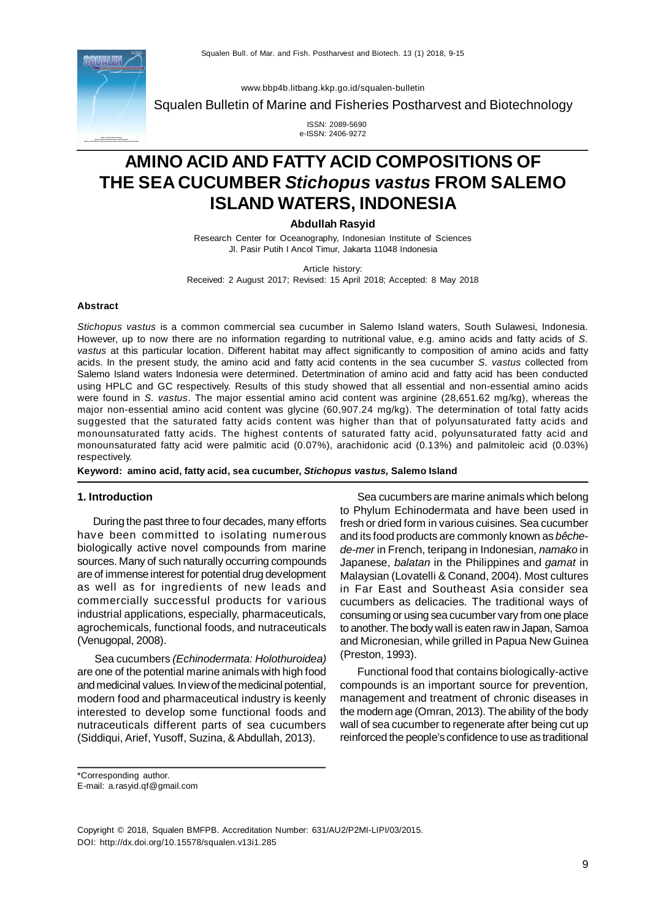

[www.bbp4b.litbang.kkp.go.id/squalen-bulletin](http://www.bbp4b.litbang.kkp.go.id/squalen-bulletin)

Squalen Bulletin of Marine and Fisheries Postharvest and Biotechnology

 ISSN: 2089-5690 e-ISSN: 2406-9272

# **AMINO ACID AND FATTY ACID COMPOSITIONS OF THE SEA CUCUMBER** *Stichopus vastus* **FROM SALEMO ISLAND WATERS, INDONESIA**

**Abdullah Rasyid**

Research Center for Oceanography, Indonesian Institute of Sciences Jl. Pasir Putih I Ancol Timur, Jakarta 11048 Indonesia

Article history:

Received: 2 August 2017; Revised: 15 April 2018; Accepted: 8 May 2018

#### **Abstract**

*Stichopus vastus* is a common commercial sea cucumber in Salemo Island waters, South Sulawesi, Indonesia. However, up to now there are no information regarding to nutritional value, e.g. amino acids and fatty acids of *S. vastus* at this particular location. Different habitat may affect significantly to composition of amino acids and fatty acids. In the present study, the amino acid and fatty acid contents in the sea cucumber *S. vastus* collected from Salemo Island waters Indonesia were determined. Detertmination of amino acid and fatty acid has been conducted using HPLC and GC respectively. Results of this study showed that all essential and non-essential amino acids were found in *S. vastus*. The major essential amino acid content was arginine (28,651.62 mg/kg), whereas the major non-essential amino acid content was glycine (60,907.24 mg/kg). The determination of total fatty acids suggested that the saturated fatty acids content was higher than that of polyunsaturated fatty acids and monounsaturated fatty acids. The highest contents of saturated fatty acid, polyunsaturated fatty acid and monounsaturated fatty acid were palmitic acid (0.07%), arachidonic acid (0.13%) and palmitoleic acid (0.03%) respectively.

**Keyword: amino acid, fatty acid, sea cucumber,** *Stichopus vastus,* **Salemo Island**

#### **1. Introduction**

During the past three to four decades, many efforts have been committed to isolating numerous biologically active novel compounds from marine sources. Many of such naturally occurring compounds are of immense interest for potential drug development as well as for ingredients of new leads and commercially successful products for various industrial applications, especially, pharmaceuticals, agrochemicals, functional foods, and nutraceuticals (Venugopal, 2008).

Sea cucumbers *(Echinodermata: Holothuroidea)* are one of the potential marine animals with high food and medicinal values. In view of the medicinal potential, modern food and pharmaceutical industry is keenly interested to develop some functional foods and nutraceuticals different parts of sea cucumbers (Siddiqui, Arief, Yusoff, Suzina, & Abdullah, 2013).

Sea cucumbers are marine animals which belong to Phylum Echinodermata and have been used in fresh or dried form in various cuisines. Sea cucumber and its food products are commonly known as *bêchede-mer* in French, teripang in Indonesian, *namako* in Japanese, *balatan* in the Philippines and *gamat* in Malaysian (Lovatelli & Conand, 2004). Most cultures in Far East and Southeast Asia consider sea cucumbers as delicacies. The traditional ways of consuming or using sea cucumber vary from one place to another. The body wall is eaten raw in Japan, Samoa and Micronesian, while grilled in Papua New Guinea (Preston, 1993).

Functional food that contains biologically-active compounds is an important source for prevention, management and treatment of chronic diseases in the modern age (Omran, 2013). The ability of the body wall of sea cucumber to regenerate after being cut up reinforced the people's confidence to use as traditional

\*Corresponding author. E-mail: [a.rasyid.qf@gmail.com](mailto:a.rasyid.qf@gmail.com)

Copyright © 2018, Squalen BMFPB. Accreditation Number: 631/AU2/P2MI-LIPI/03/2015. DOI: <http://dx.doi.org/10.15578/squalen.v13i1.285>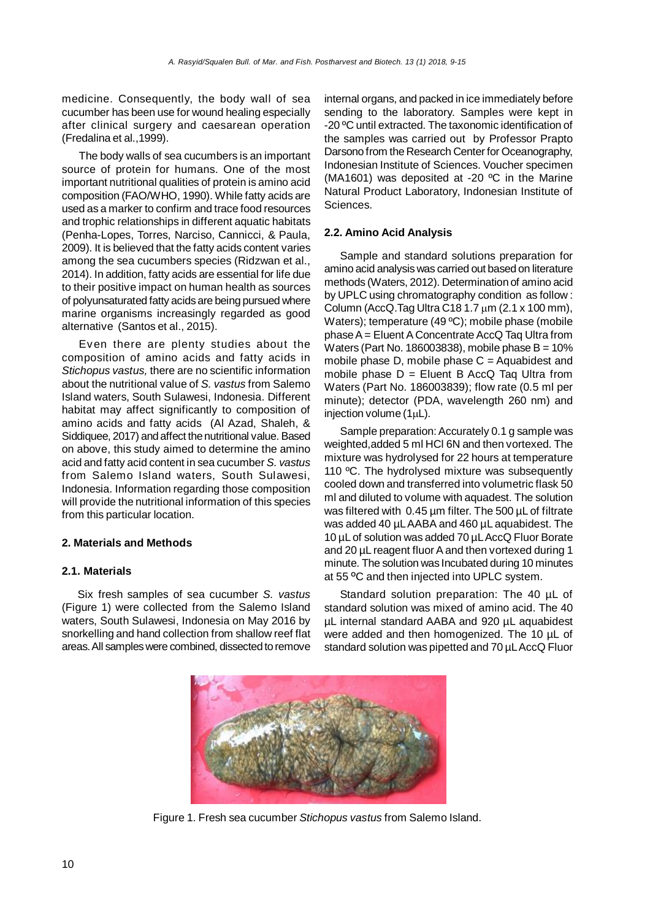medicine. Consequently, the body wall of sea cucumber has been use for wound healing especially after clinical surgery and caesarean operation (Fredalina et al.,1999).

The body walls of sea cucumbers is an important source of protein for humans. One of the most important nutritional qualities of protein is amino acid composition (FAO/WHO, 1990). While fatty acids are used as a marker to confirm and trace food resources and trophic relationships in different aquatic habitats (Penha-Lopes, Torres, Narciso, Cannicci, & Paula, 2009). It is believed that the fatty acids content varies among the sea cucumbers species (Ridzwan et al., 2014). In addition, fatty acids are essential for life due to their positive impact on human health as sources of polyunsaturated fatty acids are being pursued where marine organisms increasingly regarded as good alternative (Santos et al., 2015).

Even there are plenty studies about the composition of amino acids and fatty acids in *Stichopus vastus,* there are no scientific information about the nutritional value of *S. vastus* from Salemo Island waters, South Sulawesi, Indonesia. Different habitat may affect significantly to composition of amino acids and fatty acids (Al Azad, Shaleh, & Siddiquee, 2017) and affect the nutritional value. Based on above, this study aimed to determine the amino acid and fatty acid content in sea cucumber *S. vastus* from Salemo Island waters, South Sulawesi, Indonesia. Information regarding those composition will provide the nutritional information of this species from this particular location.

## **2. Materials and Methods**

## **2.1. Materials**

Six fresh samples of sea cucumber *S. vastus* (Figure 1) were collected from the Salemo Island waters, South Sulawesi, Indonesia on May 2016 by snorkelling and hand collection from shallow reef flat areas. All samples were combined, dissected to remove internal organs, and packed in ice immediately before sending to the laboratory. Samples were kept in -20 ºC until extracted. The taxonomic identification of the samples was carried out by Professor Prapto Darsono from the Research Center for Oceanography, Indonesian Institute of Sciences. Voucher specimen (MA1601) was deposited at -20 ºC in the Marine Natural Product Laboratory, Indonesian Institute of Sciences.

## **2.2. Amino Acid Analysis**

Sample and standard solutions preparation for amino acid analysis was carried out based on literature methods (Waters, 2012). Determination of amino acid by UPLC using chromatography condition as follow : Column (AccQ.Tag Ultra C18 1.7  $\mu$ m (2.1 x 100 mm), Waters); temperature (49 ºC); mobile phase (mobile phase A = Eluent A Concentrate AccQ Taq Ultra from Waters (Part No. 186003838), mobile phase  $B = 10\%$ mobile phase  $D$ , mobile phase  $C =$  Aquabidest and mobile phase  $D =$  Eluent B AccQ Tag Ultra from Waters (Part No. 186003839); flow rate (0.5 ml per minute); detector (PDA, wavelength 260 nm) and injection volume (1uL).

Sample preparation: Accurately 0.1 g sample was weighted,added 5 ml HCl 6N and then vortexed. The mixture was hydrolysed for 22 hours at temperature 110 °C. The hydrolysed mixture was subsequently cooled down and transferred into volumetric flask 50 ml and diluted to volume with aquadest. The solution was filtered with 0.45 um filter. The 500 uL of filtrate was added 40 µL AABA and 460 µL aquabidest. The 10 uL of solution was added 70 uL AccQ Fluor Borate and 20 µL reagent fluor A and then vortexed during 1 minute. The solution was Incubated during 10 minutes at 55 **<sup>O</sup>**C and then injected into UPLC system.

Standard solution preparation: The 40 µL of standard solution was mixed of amino acid. The 40 µL internal standard AABA and 920 µL aquabidest were added and then homogenized. The 10 µL of standard solution was pipetted and 70 µL AccQ Fluor



Figure 1. Fresh sea cucumber *Stichopus vastus* from Salemo Island.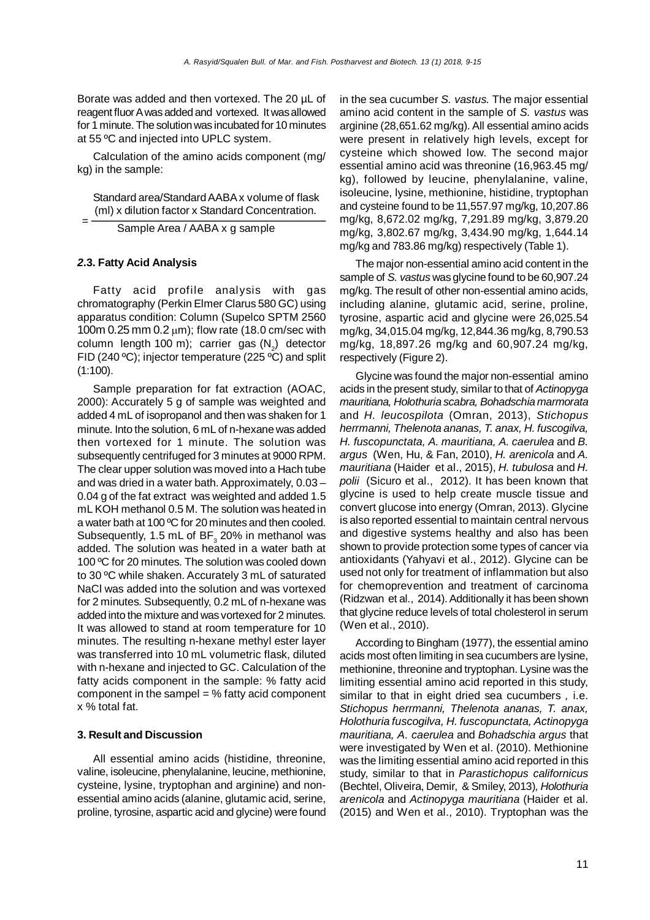Borate was added and then vortexed. The 20 µL of reagent fluor A was added and vortexed. It was allowed for 1 minute. The solution was incubated for 10 minutes at 55 ºC and injected into UPLC system.

Calculation of the amino acids component (mg/ kg) in the sample:

Standard area/Standard AABA x volume of flask (ml) x dilution factor x Standard Concentration.

Sample Area / AABA x g sample

## *2***.3. Fatty Acid Analysis**

=

Fatty acid profile analysis with gas chromatography (Perkin Elmer Clarus 580 GC) using apparatus condition: Column (Supelco SPTM 2560 100m 0.25 mm  $0.2 \mu m$ ; flow rate (18.0 cm/sec with column length 100 m); carrier gas  $(N_2)$  detector FID (240 ºC); injector temperature (225 ºC) and split (1:100).

Sample preparation for fat extraction (AOAC, 2000): Accurately 5 g of sample was weighted and added 4 mL of isopropanol and then was shaken for 1 minute. Into the solution, 6 mL of n-hexane was added then vortexed for 1 minute. The solution was subsequently centrifuged for 3 minutes at 9000 RPM. The clear upper solution was moved into a Hach tube and was dried in a water bath. Approximately, 0.03 – 0.04 g of the fat extract was weighted and added 1.5 mL KOH methanol 0.5 M. The solution was heated in a water bath at 100 ºC for 20 minutes and then cooled. Subsequently, 1.5 mL of  $BF_{3}$  20% in methanol was added. The solution was heated in a water bath at 100 ºC for 20 minutes. The solution was cooled down to 30 ºC while shaken. Accurately 3 mL of saturated NaCl was added into the solution and was vortexed for 2 minutes. Subsequently, 0.2 mL of n-hexane was added into the mixture and was vortexed for 2 minutes. It was allowed to stand at room temperature for 10 minutes. The resulting n-hexane methyl ester layer was transferred into 10 mL volumetric flask, diluted with n-hexane and injected to GC. Calculation of the fatty acids component in the sample: % fatty acid component in the sampel  $=$  % fatty acid component x % total fat.

## **3. Result and Discussion**

All essential amino acids (histidine, threonine, valine, isoleucine, phenylalanine, leucine, methionine, cysteine, lysine, tryptophan and arginine) and nonessential amino acids (alanine, glutamic acid, serine, proline, tyrosine, aspartic acid and glycine) were found in the sea cucumber *S. vastus.* The major essential amino acid content in the sample of *S. vastus* was arginine (28,651.62 mg/kg). All essential amino acids were present in relatively high levels, except for cysteine which showed low. The second major essential amino acid was threonine (16,963.45 mg/ kg), followed by leucine, phenylalanine, valine, isoleucine, lysine, methionine, histidine, tryptophan and cysteine found to be 11,557.97 mg/kg, 10,207.86 mg/kg, 8,672.02 mg/kg, 7,291.89 mg/kg, 3,879.20 mg/kg, 3,802.67 mg/kg, 3,434.90 mg/kg, 1,644.14 mg/kg and 783.86 mg/kg) respectively (Table 1).

The major non-essential amino acid content in the sample of *S. vastus* was glycine found to be 60,907.24 mg/kg. The result of other non-essential amino acids, including alanine, glutamic acid, serine, proline, tyrosine, aspartic acid and glycine were 26,025.54 mg/kg, 34,015.04 mg/kg, 12,844.36 mg/kg, 8,790.53 mg/kg, 18,897.26 mg/kg and 60,907.24 mg/kg, respectively (Figure 2).

Glycine was found the major non-essential amino acids in the present study, similar to that of *Actinopyga mauritiana, Holothuria scabra, Bohadschia marmorata* and *H. leucospilota* (Omran, 2013), *Stichopus herrmanni, Thelenota ananas, T. anax, H. fuscogilva, H. fuscopunctata, A. mauritiana, A. caerulea* and *B. argus* (Wen, Hu, & Fan, 2010), *H. arenicola* and *A. mauritiana* (Haider et al., 2015), *H. tubulosa* and *H. polii* (Sicuro et al.,2012). It has been known that glycine is used to help create muscle tissue and convert glucose into energy (Omran, 2013). Glycine is also reported essential to maintain central nervous and digestive systems healthy and also has been shown to provide protection some types of cancer via antioxidants (Yahyavi et al., 2012). Glycine can be used not only for treatment of inflammation but also for chemoprevention and treatment of carcinoma (Ridzwan et al., 2014). Additionally it has been shown that glycine reduce levels of total cholesterol in serum (Wen et al., 2010).

According to Bingham (1977), the essential amino acids most often limiting in sea cucumbers are lysine, methionine, threonine and tryptophan. Lysine was the limiting essential amino acid reported in this study, similar to that in eight dried sea cucumbers *,* i.e. *Stichopus herrmanni, Thelenota ananas, T. anax, Holothuria fuscogilva, H. fuscopunctata, Actinopyga mauritiana, A. caerulea* and *Bohadschia argus* that were investigated by Wen et al. (2010). Methionine was the limiting essential amino acid reported in this study, similar to that in *Parastichopus californicus* (Bechtel, Oliveira, Demir, & Smiley, 2013)*, Holothuria arenicola* and *Actinopyga mauritiana* (Haider et al. (2015) and Wen et al., 2010). Tryptophan was the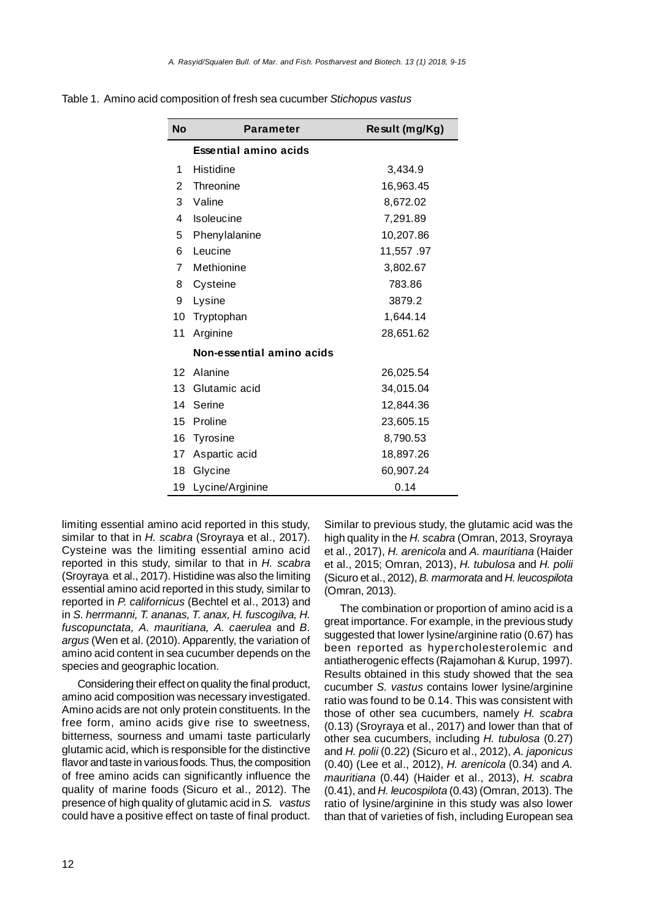|  |  | Table 1. Amino acid composition of fresh sea cucumber Stichopus vastus |
|--|--|------------------------------------------------------------------------|
|  |  |                                                                        |

| <b>No</b> | <b>Parameter</b>             | Result (mg/Kg) |
|-----------|------------------------------|----------------|
|           | <b>Essential amino acids</b> |                |
| 1         | Histidine                    | 3,434.9        |
| 2         | Threonine                    | 16,963.45      |
| 3         | Valine                       | 8,672.02       |
| 4         | Isoleucine                   | 7,291.89       |
| 5         | Phenylalanine                | 10,207.86      |
| 6         | Leucine                      | 11,557.97      |
| 7         | Methionine                   | 3,802.67       |
| 8         | Cysteine                     | 783.86         |
| 9         | Lysine                       | 3879.2         |
| 10        | Tryptophan                   | 1,644.14       |
| 11        | Arginine                     | 28,651.62      |
|           | Non-essential amino acids    |                |
| 12        | Alanine                      | 26,025.54      |
| 13        | Glutamic acid                | 34,015.04      |
| 14        | Serine                       | 12,844.36      |
| 15        | Proline                      | 23,605.15      |
| 16        | Tyrosine                     | 8,790.53       |
| 17        | Aspartic acid                | 18,897.26      |
| 18        | Glycine                      | 60,907.24      |
| 19        | Lycine/Arginine              | 0.14           |

limiting essential amino acid reported in this study, similar to that in *H. scabra* (Sroyraya et al., 2017). Cysteine was the limiting essential amino acid reported in this study, similar to that in *H. scabra* (Sroyraya et al., 2017). Histidine was also the limiting essential amino acid reported in this study, similar to reported in *P. californicus* (Bechtel et al., 2013) and in *S. herrmanni, T. ananas, T. anax, H. fuscogilva, H. fuscopunctata, A. mauritiana, A. caerulea* and *B. argus* (Wen et al. (2010). Apparently, the variation of amino acid content in sea cucumber depends on the species and geographic location.

Considering their effect on quality the final product, amino acid composition was necessary investigated. Amino acids are not only protein constituents. In the free form, amino acids give rise to sweetness, bitterness, sourness and umami taste particularly glutamic acid, which is responsible for the distinctive flavor and taste in various foods. Thus, the composition of free amino acids can significantly influence the quality of marine foods (Sicuro et al., 2012). The presence of high quality of glutamic acid in *S. vastus* could have a positive effect on taste of final product.

Similar to previous study, the glutamic acid was the high quality in the *H. scabra* (Omran, 2013, Sroyraya et al., 2017), *H. arenicola* and *A. mauritiana* (Haider et al., 2015; Omran, 2013), *H. tubulosa* and *H. polii* (Sicuro et al., 2012), *B. marmorata* and *H. leucospilota* (Omran, 2013).

The combination or proportion of amino acid is a great importance. For example, in the previous study suggested that lower lysine/arginine ratio (0.67) has been reported as hypercholesterolemic and antiatherogenic effects (Rajamohan & Kurup, 1997). Results obtained in this study showed that the sea cucumber *S. vastus* contains lower lysine/arginine ratio was found to be 0.14. This was consistent with those of other sea cucumbers, namely *H. scabra* (0.13) (Sroyraya et al., 2017) and lower than that of other sea cucumbers, including *H. tubulosa* (0.27) and *H. polii* (0.22) (Sicuro et al., 2012), *A. japonicus* (0.40) (Lee et al., 2012), *H. arenicola* (0.34) and *A. mauritiana* (0.44) (Haider et al., 2013), *H. scabra* (0.41), and *H. leucospilota* (0.43) (Omran, 2013). The ratio of lysine/arginine in this study was also lower than that of varieties of fish, including European sea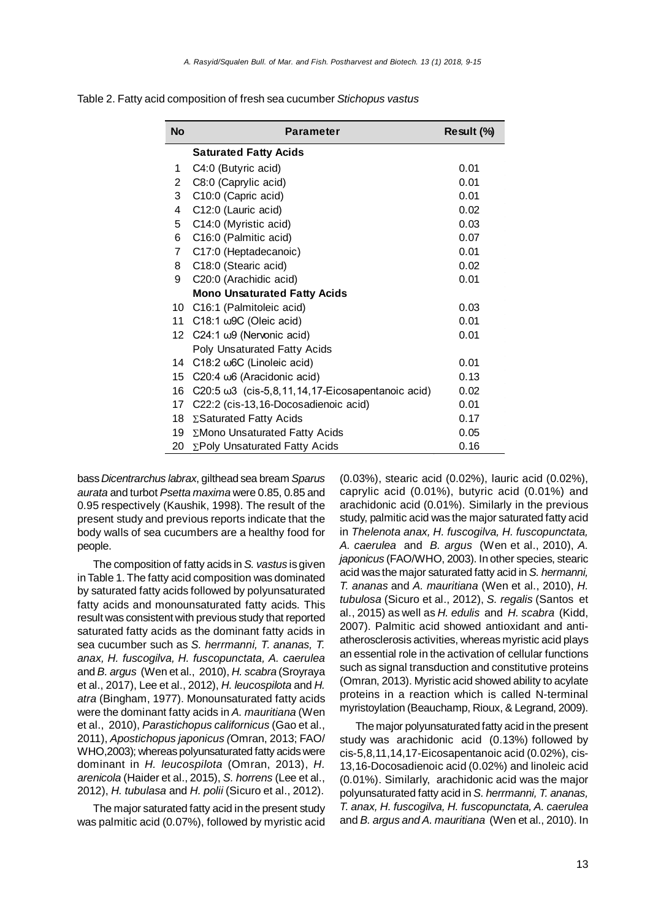| <b>No</b>      | <b>Parameter</b>                                         | Result (%) |
|----------------|----------------------------------------------------------|------------|
|                | <b>Saturated Fatty Acids</b>                             |            |
| 1              | C4:0 (Butyric acid)                                      | 0.01       |
| $\overline{2}$ | C8:0 (Caprylic acid)                                     | 0.01       |
| 3              | C10:0 (Capric acid)                                      | 0.01       |
| 4              | C12:0 (Lauric acid)                                      | 0.02       |
| 5              | C14:0 (Myristic acid)                                    | 0.03       |
| 6              | C16:0 (Palmitic acid)                                    | 0.07       |
| $\overline{7}$ | C17:0 (Heptadecanoic)                                    | 0.01       |
| 8              | C18:0 (Stearic acid)                                     | 0.02       |
| 9              | C20:0 (Arachidic acid)                                   | 0.01       |
|                | <b>Mono Unsaturated Fatty Acids</b>                      |            |
| 10             | C16:1 (Palmitoleic acid)                                 | 0.03       |
| 11             | C18:1 w9C (Oleic acid)                                   | 0.01       |
| 12             | C24:1 $\omega$ 9 (Nervonic acid)                         | 0.01       |
|                | Poly Unsaturated Fatty Acids                             |            |
| 14             | C18:2 ω6C (Linoleic acid)                                | 0.01       |
| 15             | C20:4 $\omega$ 6 (Aracidonic acid)                       | 0.13       |
| 16             | C20:5 $\omega$ 3 (cis-5,8,11,14,17-Eicosapentanoic acid) | 0.02       |
| 17             | C22:2 (cis-13,16-Docosadienoic acid)                     | 0.01       |
| 18             | ∑Saturated Fatty Acids                                   | 0.17       |
| 19             | ∑Mono Unsaturated Fatty Acids                            | 0.05       |
| 20             | ∑Poly Unsaturated Fatty Acids                            | 0.16       |

Table 2. Fatty acid composition of fresh sea cucumber *Stichopus vastus*

bass *Dicentrarchus labrax*, gilthead sea bream *Sparus aurata* and turbot *Psetta maxima* were 0.85, 0.85 and 0.95 respectively (Kaushik, 1998). The result of the present study and previous reports indicate that the body walls of sea cucumbers are a healthy food for people.

The composition of fatty acids in *S. vastus* is given in Table 1. The fatty acid composition was dominated by saturated fatty acids followed by polyunsaturated fatty acids and monounsaturated fatty acids. This result was consistent with previous study that reported saturated fatty acids as the dominant fatty acids in sea cucumber such as *S. herrmanni, T. ananas, T. anax, H. fuscogilva, H. fuscopunctata, A. caerulea* and *B. argus* (Wen et al., 2010), *H. scabra* (Sroyraya et al., 2017), Lee et al., 2012), *H. leucospilota* and *H. atra* (Bingham, 1977). Monounsaturated fatty acids were the dominant fatty acids in *A. mauritiana* (Wen et al., 2010), *Parastichopus californicus* (Gao et al., 2011), *Apostichopus japonicus (*Omran, 2013; FAO/ WHO,2003); whereas polyunsaturated fatty acids were dominant in *H. leucospilota* (Omran, 2013), *H. arenicola* (Haider et al., 2015), *S. horrens* (Lee et al., 2012), *H. tubulasa* and *H. polii* (Sicuro et al., 2012).

The major saturated fatty acid in the present study was palmitic acid (0.07%), followed by myristic acid

(0.03%), stearic acid (0.02%), lauric acid (0.02%), caprylic acid (0.01%), butyric acid (0.01%) and arachidonic acid (0.01%). Similarly in the previous study, palmitic acid was the major saturated fatty acid in *Thelenota anax, H. fuscogilva, H. fuscopunctata, A. caerulea* and *B. argus* (Wen et al., 2010), *A. japonicus* (FAO/WHO, 2003). In other species, stearic acid was the major saturated fatty acid in *S. hermanni, T. ananas* and *A. mauritiana* (Wen et al., 2010), *H. tubulosa* (Sicuro et al., 2012), *S. regalis* (Santos et al., 2015) as well as *H. edulis* and *H. scabra* (Kidd, 2007). Palmitic acid showed antioxidant and antiatherosclerosis activities, whereas myristic acid plays an essential role in the activation of cellular functions such as signal transduction and constitutive proteins (Omran, 2013). Myristic acid showed ability to acylate proteins in a reaction which is called N-terminal myristoylation (Beauchamp, Rioux, & Legrand, 2009).

The major polyunsaturated fatty acid in the present study was arachidonic acid (0.13%) followed by cis-5,8,11,14,17-Eicosapentanoic acid (0.02%), cis-13,16-Docosadienoic acid (0.02%) and linoleic acid (0.01%). Similarly, arachidonic acid was the major polyunsaturated fatty acid in *S. herrmanni, T. ananas, T. anax, H. fuscogilva, H. fuscopunctata, A. caerulea* and *B. argus and A. mauritiana* (Wen et al., 2010). In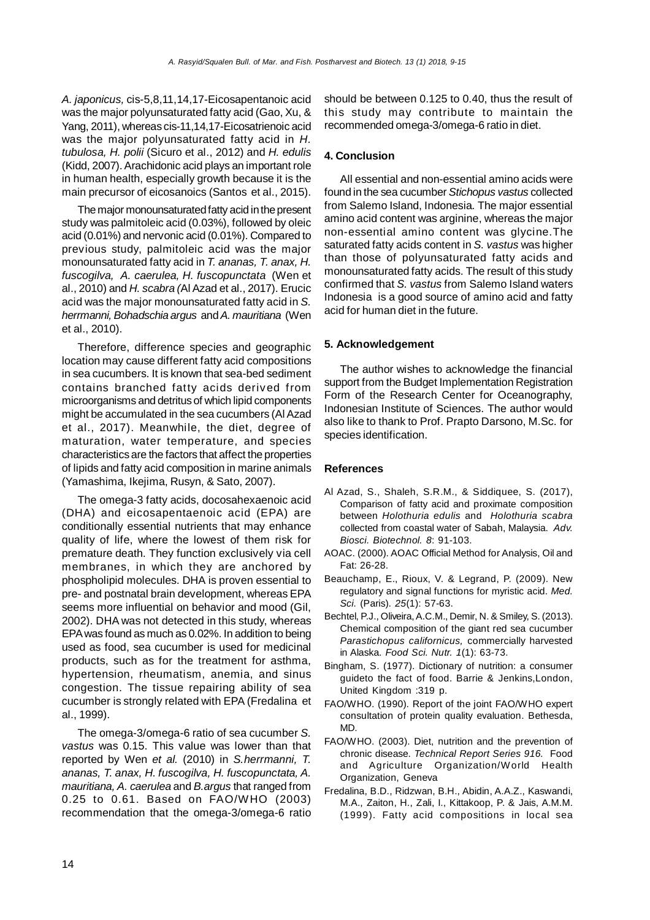*A. japonicus,* cis-5,8,11,14,17-Eicosapentanoic acid was the major polyunsaturated fatty acid (Gao, Xu, & Yang, 2011), whereas cis-11,14,17-Eicosatrienoic acid was the major polyunsaturated fatty acid in *H. tubulosa, H. polii* (Sicuro et al., 2012) and *H. edulis* (Kidd, 2007). Arachidonic acid plays an important role in human health, especially growth because it is the main precursor of eicosanoics (Santos et al., 2015).

The major monounsaturated fatty acid in the present study was palmitoleic acid (0.03%), followed by oleic acid (0.01%) and nervonic acid (0.01%). Compared to previous study, palmitoleic acid was the major monounsaturated fatty acid in *T. ananas, T. anax, H. fuscogilva, A. caerulea, H. fuscopunctata* (Wen et al., 2010) and *H. scabra (*Al Azad et al., 2017). Erucic acid was the major monounsaturated fatty acid in *S. herrmanni, Bohadschia argus* and *A. mauritiana* (Wen et al., 2010).

Therefore, difference species and geographic location may cause different fatty acid compositions in sea cucumbers. It is known that sea-bed sediment contains branched fatty acids derived from microorganisms and detritus of which lipid components might be accumulated in the sea cucumbers (Al Azad et al., 2017). Meanwhile, the diet, degree of maturation, water temperature, and species characteristics are the factors that affect the properties of lipids and fatty acid composition in marine animals (Yamashima, Ikejima, Rusyn, & Sato, 2007).

The omega-3 fatty acids, docosahexaenoic acid (DHA) and eicosapentaenoic acid (EPA) are conditionally essential nutrients that may enhance quality of life, where the lowest of them risk for premature death. They function exclusively via cell membranes, in which they are anchored by phospholipid molecules. DHA is proven essential to pre- and postnatal brain development, whereas EPA seems more influential on behavior and mood (Gil, 2002). DHA was not detected in this study, whereas EPA was found as much as 0.02%. In addition to being used as food, sea cucumber is used for medicinal products, such as for the treatment for asthma, hypertension, rheumatism, anemia, and sinus congestion. The tissue repairing ability of sea cucumber is strongly related with EPA (Fredalina et al., 1999).

The omega-3/omega-6 ratio of sea cucumber *S. vastus* was 0.15. This value was lower than that reported by Wen *et al.* (2010) in *S.herrmanni, T. ananas, T. anax, H. fuscogilva, H. fuscopunctata, A. mauritiana, A. caerulea* and *B.argus* that ranged from 0.25 to 0.61. Based on FAO/WHO (2003) recommendation that the omega-3/omega-6 ratio should be between 0.125 to 0.40, thus the result of this study may contribute to maintain the recommended omega-3/omega-6 ratio in diet.

## **4. Conclusion**

All essential and non-essential amino acids were found in the sea cucumber *Stichopus vastus* collected from Salemo Island, Indonesia*.* The major essential amino acid content was arginine, whereas the major non-essential amino content was glycine.The saturated fatty acids content in *S. vastus* was higher than those of polyunsaturated fatty acids and monounsaturated fatty acids. The result of this study confirmed that *S. vastus* from Salemo Island waters Indonesia is a good source of amino acid and fatty acid for human diet in the future.

## **5. Acknowledgement**

The author wishes to acknowledge the financial support from the Budget Implementation Registration Form of the Research Center for Oceanography, Indonesian Institute of Sciences. The author would also like to thank to Prof. Prapto Darsono, M.Sc. for species identification.

#### **References**

- Al Azad, S., Shaleh, S.R.M., & Siddiquee, S. (2017), Comparison of fatty acid and proximate composition between *Holothuria edulis* and *Holothuria scabra* collected from coastal water of Sabah, Malaysia. *Adv. Biosci. Biotechnol. 8*: 91-103.
- AOAC. (2000). AOAC Official Method for Analysis, Oil and Fat: 26-28.
- Beauchamp, E., Rioux, V. & Legrand, P. (2009). New regulatory and signal functions for myristic acid. *Med. Sci.* (Paris). *25*(1): 57-63.
- Bechtel, P.J., Oliveira, A.C.M., Demir, N. & Smiley, S. (2013). Chemical composition of the giant red sea cucumber *Parastichopus californicus,* commercially harvested in Alaska. *Food Sci. Nutr. 1*(1): 63-73.
- Bingham, S. (1977). Dictionary of nutrition: a consumer guideto the fact of food. Barrie & Jenkins,London, United Kingdom :319 p.
- FAO/WHO. (1990). Report of the joint FAO/WHO expert consultation of protein quality evaluation. Bethesda, MD.
- FAO/WHO. (2003). Diet, nutrition and the prevention of chronic disease. *Technical Report Series 916.* Food and Agriculture Organization/World Health Organization, Geneva
- Fredalina, B.D., Ridzwan, B.H., Abidin, A.A.Z., Kaswandi, M.A., Zaiton, H., Zali, I., Kittakoop, P. & Jais, A.M.M. (1999). Fatty acid compositions in local sea